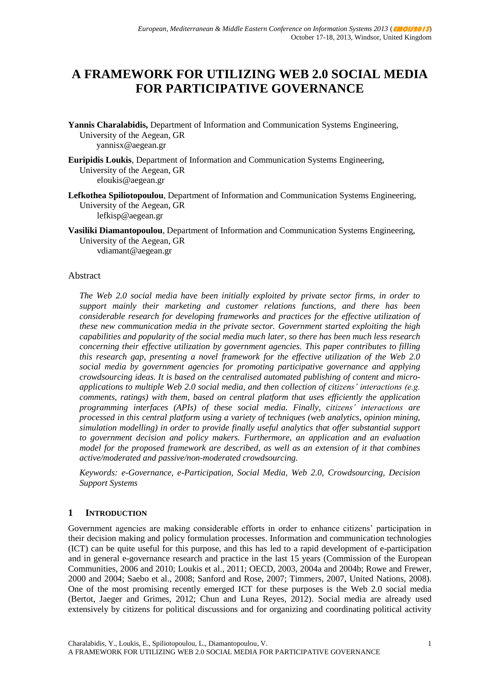# **A FRAMEWORK FOR UTILIZING WEB 2.0 SOCIAL MEDIA FOR PARTICIPATIVE GOVERNANCE**

- **Yannis Charalabidis,** Department of Information and Communication Systems Engineering, University of the Aegean, GR yannisx@aegean.gr
- **Euripidis Loukis**, Department of Information and Communication Systems Engineering, University of the Aegean, GR eloukis@aegean.gr
- **Lefkothea Spiliotopoulou**, Department of Information and Communication Systems Engineering, University of the Aegean, GR lefkisp@aegean.gr
- **Vasiliki Diamantopoulou**, Department of Information and Communication Systems Engineering, University of the Aegean, GR vdiamant@aegean.gr

#### Abstract

*The Web 2.0 social media have been initially exploited by private sector firms, in order to support mainly their marketing and customer relations functions, and there has been considerable research for developing frameworks and practices for the effective utilization of these new communication media in the private sector. Government started exploiting the high capabilities and popularity of the social media much later, so there has been much less research concerning their effective utilization by government agencies. This paper contributes to filling this research gap, presenting a novel framework for the effective utilization of the Web 2.0 social media by government agencies for promoting participative governance and applying crowdsourcing ideas. It is based on the centralised automated publishing of content and microapplications to multiple Web 2.0 social media, and then collection of citizens' interactions (e.g. comments, ratings) with them, based on central platform that uses efficiently the application programming interfaces (APIs) of these social media. Finally, citizens' interactions are processed in this central platform using a variety of techniques (web analytics, opinion mining, simulation modelling) in order to provide finally useful analytics that offer substantial support to government decision and policy makers. Furthermore, an application and an evaluation model for the proposed framework are described, as well as an extension of it that combines active/moderated and passive/non-moderated crowdsourcing.* 

*Keywords: e-Governance, e-Participation, Social Media, Web 2.0, Crowdsourcing, Decision Support Systems*

#### **1 INTRODUCTION**

Government agencies are making considerable efforts in order to enhance citizens" participation in their decision making and policy formulation processes. Information and communication technologies (ICT) can be quite useful for this purpose, and this has led to a rapid development of e-participation and in general e-governance research and practice in the last 15 years (Commission of the European Communities, 2006 and 2010; Loukis et al., 2011; OECD, 2003, 2004a and 2004b; Rowe and Frewer, 2000 and 2004; Saebo et al., 2008; Sanford and Rose, 2007; Timmers, 2007, United Nations, 2008). One of the most promising recently emerged ICT for these purposes is the Web 2.0 social media (Bertot, Jaeger and Grimes, 2012; Chun and Luna Reyes, 2012). Social media are already used extensively by citizens for political discussions and for organizing and coordinating political activity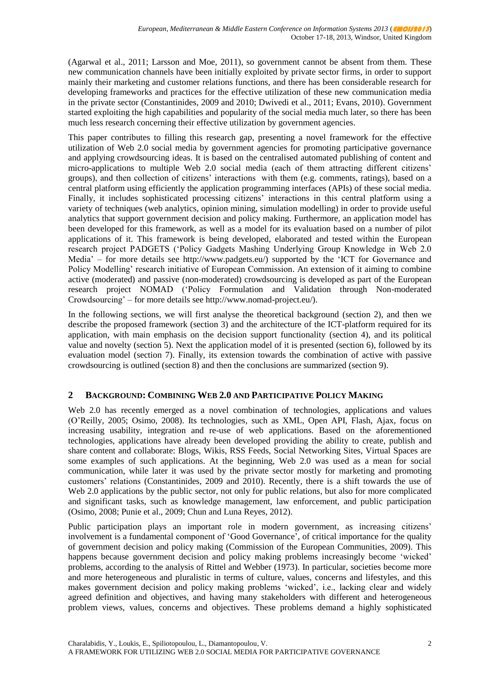(Agarwal et al., 2011; Larsson and Moe, 2011), so government cannot be absent from them. These new communication channels have been initially exploited by private sector firms, in order to support mainly their marketing and customer relations functions, and there has been considerable research for developing frameworks and practices for the effective utilization of these new communication media in the private sector (Constantinides, 2009 and 2010; Dwivedi et al., 2011; Evans, 2010). Government started exploiting the high capabilities and popularity of the social media much later, so there has been much less research concerning their effective utilization by government agencies.

This paper contributes to filling this research gap, presenting a novel framework for the effective utilization of Web 2.0 social media by government agencies for promoting participative governance and applying crowdsourcing ideas. It is based on the centralised automated publishing of content and micro-applications to multiple Web 2.0 social media (each of them attracting different citizens' groups), and then collection of citizens" interactions with them (e.g. comments, ratings), based on a central platform using efficiently the application programming interfaces (APIs) of these social media. Finally, it includes sophisticated processing citizens' interactions in this central platform using a variety of techniques (web analytics, opinion mining, simulation modelling) in order to provide useful analytics that support government decision and policy making. Furthermore, an application model has been developed for this framework, as well as a model for its evaluation based on a number of pilot applications of it. This framework is being developed, elaborated and tested within the European research project PADGETS ("Policy Gadgets Mashing Underlying Group Knowledge in Web 2.0 Media" – for more details see http://www.padgets.eu/) supported by the "ICT for Governance and Policy Modelling" research initiative of European Commission. An extension of it aiming to combine active (moderated) and passive (non-moderated) crowdsourcing is developed as part of the European research project NOMAD ("Policy Formulation and Validation through Non-moderated Crowdsourcing" – for more details see http://www.nomad-project.eu/).

In the following sections, we will first analyse the theoretical background (section 2), and then we describe the proposed framework (section 3) and the architecture of the ICT-platform required for its application, with main emphasis on the decision support functionality (section 4), and its political value and novelty (section 5). Next the application model of it is presented (section 6), followed by its evaluation model (section 7). Finally, its extension towards the combination of active with passive crowdsourcing is outlined (section 8) and then the conclusions are summarized (section 9).

# **2 BACKGROUND: COMBINING WEB 2.0 AND PARTICIPATIVE POLICY MAKING**

Web 2.0 has recently emerged as a novel combination of technologies, applications and values (O"Reilly, 2005; Osimo, 2008). Its technologies, such as XML, Open API, Flash, Ajax, focus on increasing usability, integration and re-use of web applications. Based on the aforementioned technologies, applications have already been developed providing the ability to create, publish and share content and collaborate: Blogs, Wikis, RSS Feeds, Social Networking Sites, Virtual Spaces are some examples of such applications. At the beginning, Web 2.0 was used as a mean for social communication, while later it was used by the private sector mostly for marketing and promoting customers" relations (Constantinides, 2009 and 2010). Recently, there is a shift towards the use of Web 2.0 applications by the public sector, not only for public relations, but also for more complicated and significant tasks, such as knowledge management, law enforcement, and public participation (Osimo, 2008; Punie et al., 2009; Chun and Luna Reyes, 2012).

Public participation plays an important role in modern government, as increasing citizens' involvement is a fundamental component of "Good Governance", of critical importance for the quality of government decision and policy making (Commission of the European Communities, 2009). This happens because government decision and policy making problems increasingly become 'wicked' problems, according to the analysis of Rittel and Webber (1973). In particular, societies become more and more heterogeneous and pluralistic in terms of culture, values, concerns and lifestyles, and this makes government decision and policy making problems "wicked", i.e., lacking clear and widely agreed definition and objectives, and having many stakeholders with different and heterogeneous problem views, values, concerns and objectives. These problems demand a highly sophisticated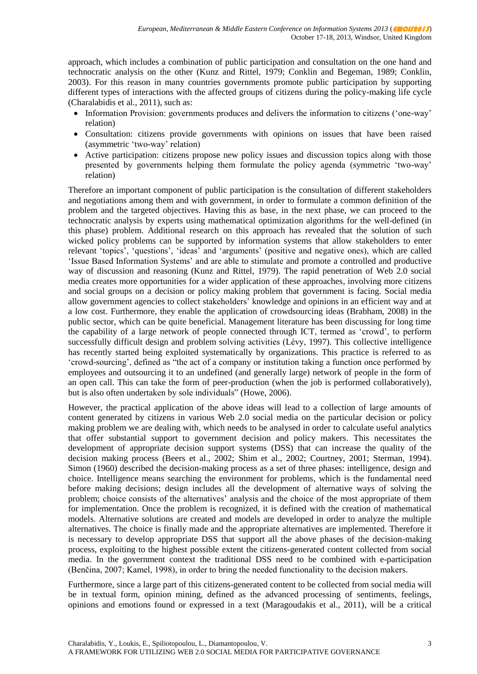approach, which includes a combination of public participation and consultation on the one hand and technocratic analysis on the other (Kunz and Rittel, 1979; Conklin and Begeman, 1989; Conklin, 2003). For this reason in many countries governments promote public participation by supporting different types of interactions with the affected groups of citizens during the policy-making life cycle (Charalabidis et al., 2011), such as:

- Information Provision: governments produces and delivers the information to citizens ('one-way' relation)
- Consultation: citizens provide governments with opinions on issues that have been raised (asymmetric "two-way" relation)
- Active participation: citizens propose new policy issues and discussion topics along with those presented by governments helping them formulate the policy agenda (symmetric "two-way" relation)

Therefore an important component of public participation is the consultation of different stakeholders and negotiations among them and with government, in order to formulate a common definition of the problem and the targeted objectives. Having this as base, in the next phase, we can proceed to the technocratic analysis by experts using mathematical optimization algorithms for the well-defined (in this phase) problem. Additional research on this approach has revealed that the solution of such wicked policy problems can be supported by information systems that allow stakeholders to enter relevant 'topics', 'questions', 'ideas' and 'arguments' (positive and negative ones), which are called "Issue Based Information Systems" and are able to stimulate and promote a controlled and productive way of discussion and reasoning (Kunz and Rittel, 1979). The rapid penetration of Web 2.0 social media creates more opportunities for a wider application of these approaches, involving more citizens and social groups on a decision or policy making problem that government is facing. Social media allow government agencies to collect stakeholders' knowledge and opinions in an efficient way and at a low cost. Furthermore, they enable the application of crowdsourcing ideas (Brabham, 2008) in the public sector, which can be quite beneficial. Management literature has been discussing for long time the capability of a large network of people connected through ICT, termed as "crowd", to perform successfully difficult design and problem solving activities (Lévy, 1997). This collective intelligence has recently started being exploited systematically by organizations. This practice is referred to as "crowd-sourcing", defined as "the act of a company or institution taking a function once performed by employees and outsourcing it to an undefined (and generally large) network of people in the form of an open call. This can take the form of peer-production (when the job is performed collaboratively), but is also often undertaken by sole individuals" (Howe, 2006).

However, the practical application of the above ideas will lead to a collection of large amounts of content generated by citizens in various Web 2.0 social media on the particular decision or policy making problem we are dealing with, which needs to be analysed in order to calculate useful analytics that offer substantial support to government decision and policy makers. This necessitates the development of appropriate decision support systems (DSS) that can increase the quality of the decision making process (Beers et al., 2002; Shim et al., 2002; Courtney, 2001; Sterman, 1994). Simon (1960) described the decision-making process as a set of three phases: intelligence, design and choice. Intelligence means searching the environment for problems, which is the fundamental need before making decisions; design includes all the development of alternative ways of solving the problem; choice consists of the alternatives" analysis and the choice of the most appropriate of them for implementation. Once the problem is recognized, it is defined with the creation of mathematical models. Alternative solutions are created and models are developed in order to analyze the multiple alternatives. The choice is finally made and the appropriate alternatives are implemented. Therefore it is necessary to develop appropriate DSS that support all the above phases of the decision-making process, exploiting to the highest possible extent the citizens-generated content collected from social media. In the government context the traditional DSS need to be combined with e-participation (Benčina, 2007; Kamel, 1998), in order to bring the needed functionality to the decision makers.

Furthermore, since a large part of this citizens-generated content to be collected from social media will be in textual form, opinion mining, defined as the advanced processing of sentiments, feelings, opinions and emotions found or expressed in a text (Maragoudakis et al., 2011), will be a critical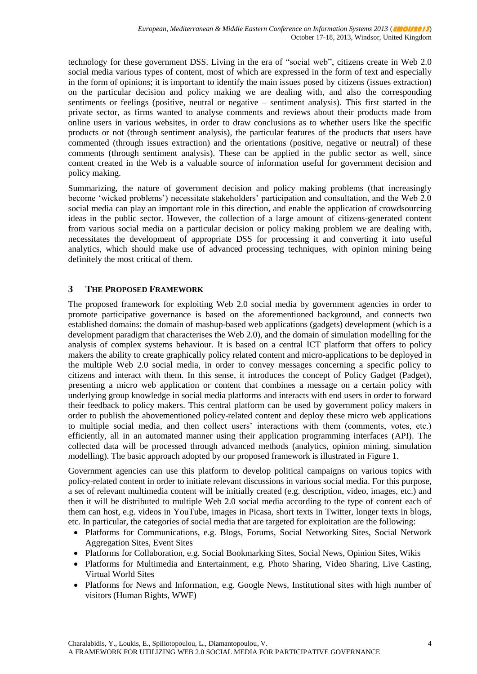technology for these government DSS. Living in the era of "social web", citizens create in Web 2.0 social media various types of content, most of which are expressed in the form of text and especially in the form of opinions; it is important to identify the main issues posed by citizens (issues extraction) on the particular decision and policy making we are dealing with, and also the corresponding sentiments or feelings (positive, neutral or negative – sentiment analysis). This first started in the private sector, as firms wanted to analyse comments and reviews about their products made from online users in various websites, in order to draw conclusions as to whether users like the specific products or not (through sentiment analysis), the particular features of the products that users have commented (through issues extraction) and the orientations (positive, negative or neutral) of these comments (through sentiment analysis). These can be applied in the public sector as well, since content created in the Web is a valuable source of information useful for government decision and policy making.

Summarizing, the nature of government decision and policy making problems (that increasingly become 'wicked problems') necessitate stakeholders' participation and consultation, and the Web 2.0 social media can play an important role in this direction, and enable the application of crowdsourcing ideas in the public sector. However, the collection of a large amount of citizens-generated content from various social media on a particular decision or policy making problem we are dealing with, necessitates the development of appropriate DSS for processing it and converting it into useful analytics, which should make use of advanced processing techniques, with opinion mining being definitely the most critical of them.

#### **3 THE PROPOSED FRAMEWORK**

The proposed framework for exploiting Web 2.0 social media by government agencies in order to promote participative governance is based on the aforementioned background, and connects two established domains: the domain of mashup-based web applications (gadgets) development (which is a development paradigm that characterises the Web 2.0), and the domain of simulation modelling for the analysis of complex systems behaviour. It is based on a central ICT platform that offers to policy makers the ability to create graphically policy related content and micro-applications to be deployed in the multiple Web 2.0 social media, in order to convey messages concerning a specific policy to citizens and interact with them. In this sense, it introduces the concept of Policy Gadget (Padget), presenting a micro web application or content that combines a message on a certain policy with underlying group knowledge in social media platforms and interacts with end users in order to forward their feedback to policy makers. This central platform can be used by government policy makers in order to publish the abovementioned policy-related content and deploy these micro web applications to multiple social media, and then collect users" interactions with them (comments, votes, etc.) efficiently, all in an automated manner using their application programming interfaces (API). The collected data will be processed through advanced methods (analytics, opinion mining, simulation modelling). The basic approach adopted by our proposed framework is illustrated in Figure 1.

Government agencies can use this platform to develop political campaigns on various topics with policy-related content in order to initiate relevant discussions in various social media. For this purpose, a set of relevant multimedia content will be initially created (e.g. description, video, images, etc.) and then it will be distributed to multiple Web 2.0 social media according to the type of content each of them can host, e.g. videos in YouTube, images in Picasa, short texts in Twitter, longer texts in blogs, etc. In particular, the categories of social media that are targeted for exploitation are the following:

- Platforms for Communications, e.g. Blogs, Forums, Social Networking Sites, Social Network Aggregation Sites, Event Sites
- Platforms for Collaboration, e.g. Social Bookmarking Sites, Social News, Opinion Sites, Wikis
- Platforms for Multimedia and Entertainment, e.g. Photo Sharing, Video Sharing, Live Casting, Virtual World Sites
- Platforms for News and Information, e.g. Google News, Institutional sites with high number of visitors (Human Rights, WWF)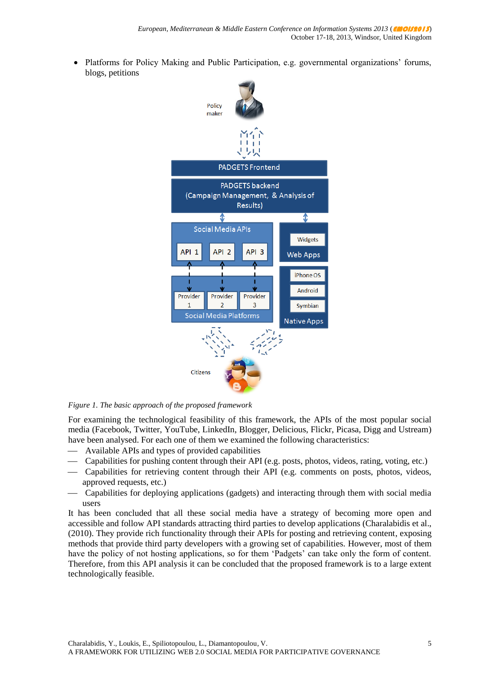• Platforms for Policy Making and Public Participation, e.g. governmental organizations' forums, blogs, petitions



*Figure 1. The basic approach of the proposed framework*

For examining the technological feasibility of this framework, the APIs of the most popular social media (Facebook, Twitter, YouTube, LinkedIn, Blogger, Delicious, Flickr, Picasa, Digg and Ustream) have been analysed. For each one of them we examined the following characteristics:

- Available APIs and types of provided capabilities
- Capabilities for pushing content through their API (e.g. posts, photos, videos, rating, voting, etc.)
- Capabilities for retrieving content through their API (e.g. comments on posts, photos, videos, approved requests, etc.)
- Capabilities for deploying applications (gadgets) and interacting through them with social media users

It has been concluded that all these social media have a strategy of becoming more open and accessible and follow API standards attracting third parties to develop applications (Charalabidis et al., (2010). They provide rich functionality through their APIs for posting and retrieving content, exposing methods that provide third party developers with a growing set of capabilities. However, most of them have the policy of not hosting applications, so for them 'Padgets' can take only the form of content. Therefore, from this API analysis it can be concluded that the proposed framework is to a large extent technologically feasible.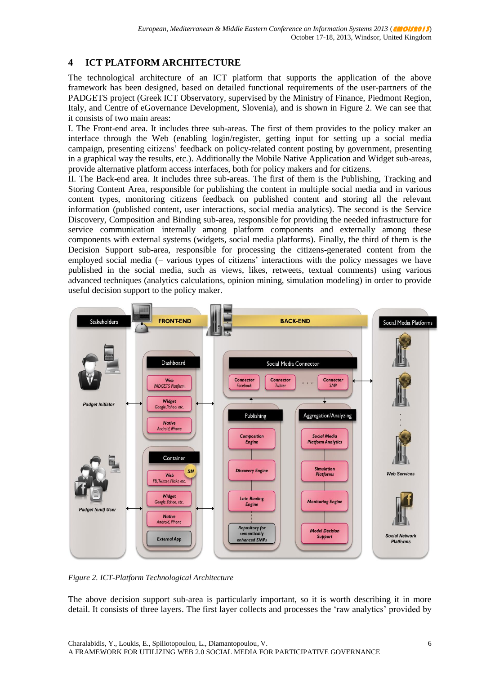# **4 ICT PLATFORM ARCHITECTURE**

The technological architecture of an ICT platform that supports the application of the above framework has been designed, based on detailed functional requirements of the user-partners of the PADGETS project (Greek ICT Observatory, supervised by the Ministry of Finance, Piedmont Region, Italy, and Centre of eGovernance Development, Slovenia), and is shown in Figure 2. We can see that it consists of two main areas:

I. The Front-end area. It includes three sub-areas. The first of them provides to the policy maker an interface through the Web (enabling login/register, getting input for setting up a social media campaign, presenting citizens" feedback on policy-related content posting by government, presenting in a graphical way the results, etc.). Additionally the Mobile Native Application and Widget sub-areas, provide alternative platform access interfaces, both for policy makers and for citizens.

II. The Back-end area. It includes three sub-areas. The first of them is the Publishing, Tracking and Storing Content Area, responsible for publishing the content in multiple social media and in various content types, monitoring citizens feedback on published content and storing all the relevant information (published content, user interactions, social media analytics). The second is the Service Discovery, Composition and Binding sub-area, responsible for providing the needed infrastructure for service communication internally among platform components and externally among these components with external systems (widgets, social media platforms). Finally, the third of them is the Decision Support sub-area, responsible for processing the citizens-generated content from the employed social media (= various types of citizens" interactions with the policy messages we have published in the social media, such as views, likes, retweets, textual comments) using various advanced techniques (analytics calculations, opinion mining, simulation modeling) in order to provide useful decision support to the policy maker.



*Figure 2. ICT-Platform Technological Architecture*

The above decision support sub-area is particularly important, so it is worth describing it in more detail. It consists of three layers. The first layer collects and processes the "raw analytics" provided by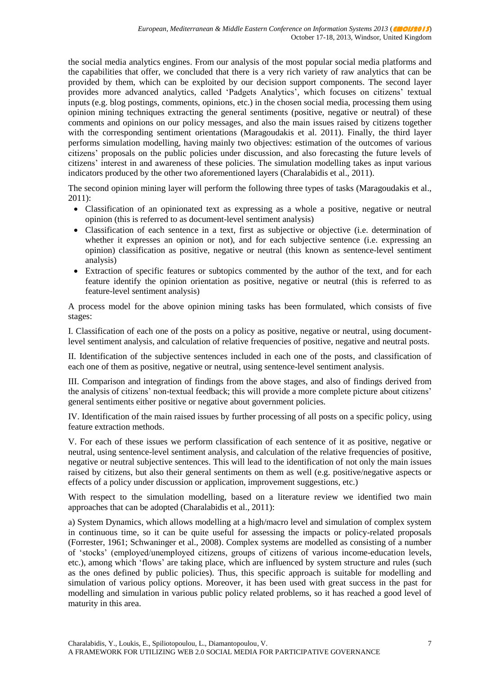the social media analytics engines. From our analysis of the most popular social media platforms and the capabilities that offer, we concluded that there is a very rich variety of raw analytics that can be provided by them, which can be exploited by our decision support components. The second layer provides more advanced analytics, called 'Padgets Analytics', which focuses on citizens' textual inputs (e.g. blog postings, comments, opinions, etc.) in the chosen social media, processing them using opinion mining techniques extracting the general sentiments (positive, negative or neutral) of these comments and opinions on our policy messages, and also the main issues raised by citizens together with the corresponding sentiment orientations (Maragoudakis et al. 2011). Finally, the third layer performs simulation modelling, having mainly two objectives: estimation of the outcomes of various citizens" proposals on the public policies under discussion, and also forecasting the future levels of citizens" interest in and awareness of these policies. The simulation modelling takes as input various indicators produced by the other two aforementioned layers (Charalabidis et al., 2011).

The second opinion mining layer will perform the following three types of tasks (Maragoudakis et al., 2011):

- Classification of an opinionated text as expressing as a whole a positive, negative or neutral opinion (this is referred to as document-level sentiment analysis)
- Classification of each sentence in a text, first as subjective or objective (i.e. determination of whether it expresses an opinion or not), and for each subjective sentence (i.e. expressing an opinion) classification as positive, negative or neutral (this known as sentence-level sentiment analysis)
- Extraction of specific features or subtopics commented by the author of the text, and for each feature identify the opinion orientation as positive, negative or neutral (this is referred to as feature-level sentiment analysis)

A process model for the above opinion mining tasks has been formulated, which consists of five stages:

I. Classification of each one of the posts on a policy as positive, negative or neutral, using documentlevel sentiment analysis, and calculation of relative frequencies of positive, negative and neutral posts.

II. Identification of the subjective sentences included in each one of the posts, and classification of each one of them as positive, negative or neutral, using sentence-level sentiment analysis.

III. Comparison and integration of findings from the above stages, and also of findings derived from the analysis of citizens" non-textual feedback; this will provide a more complete picture about citizens" general sentiments either positive or negative about government policies.

IV. Identification of the main raised issues by further processing of all posts on a specific policy, using feature extraction methods.

V. For each of these issues we perform classification of each sentence of it as positive, negative or neutral, using sentence-level sentiment analysis, and calculation of the relative frequencies of positive, negative or neutral subjective sentences. This will lead to the identification of not only the main issues raised by citizens, but also their general sentiments on them as well (e.g. positive/negative aspects or effects of a policy under discussion or application, improvement suggestions, etc.)

With respect to the simulation modelling, based on a literature review we identified two main approaches that can be adopted (Charalabidis et al., 2011):

a) System Dynamics, which allows modelling at a high/macro level and simulation of complex system in continuous time, so it can be quite useful for assessing the impacts or policy-related proposals (Forrester, 1961; Schwaninger et al., 2008). Complex systems are modelled as consisting of a number of "stocks" (employed/unemployed citizens, groups of citizens of various income-education levels, etc.), among which "flows" are taking place, which are influenced by system structure and rules (such as the ones defined by public policies). Thus, this specific approach is suitable for modelling and simulation of various policy options. Moreover, it has been used with great success in the past for modelling and simulation in various public policy related problems, so it has reached a good level of maturity in this area.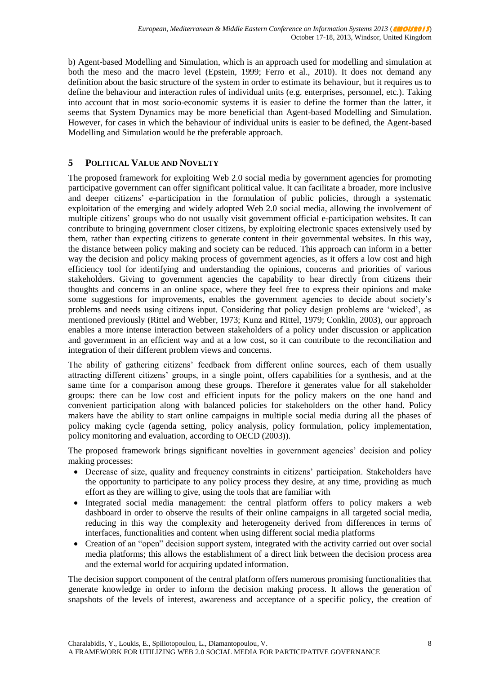b) Agent-based Modelling and Simulation, which is an approach used for modelling and simulation at both the meso and the macro level (Epstein, 1999; Ferro et al., 2010). It does not demand any definition about the basic structure of the system in order to estimate its behaviour, but it requires us to define the behaviour and interaction rules of individual units (e.g. enterprises, personnel, etc.). Taking into account that in most socio-economic systems it is easier to define the former than the latter, it seems that System Dynamics may be more beneficial than Agent-based Modelling and Simulation. However, for cases in which the behaviour of individual units is easier to be defined, the Agent-based Modelling and Simulation would be the preferable approach.

# **5 POLITICAL VALUE AND NOVELTY**

The proposed framework for exploiting Web 2.0 social media by government agencies for promoting participative government can offer significant political value. It can facilitate a broader, more inclusive and deeper citizens" e-participation in the formulation of public policies, through a systematic exploitation of the emerging and widely adopted Web 2.0 social media, allowing the involvement of multiple citizens" groups who do not usually visit government official e-participation websites. It can contribute to bringing government closer citizens, by exploiting electronic spaces extensively used by them, rather than expecting citizens to generate content in their governmental websites. In this way, the distance between policy making and society can be reduced. This approach can inform in a better way the decision and policy making process of government agencies, as it offers a low cost and high efficiency tool for identifying and understanding the opinions, concerns and priorities of various stakeholders. Giving to government agencies the capability to hear directly from citizens their thoughts and concerns in an online space, where they feel free to express their opinions and make some suggestions for improvements, enables the government agencies to decide about society's problems and needs using citizens input. Considering that policy design problems are "wicked", as mentioned previously (Rittel and Webber, 1973; Kunz and Rittel, 1979; Conklin, 2003), our approach enables a more intense interaction between stakeholders of a policy under discussion or application and government in an efficient way and at a low cost, so it can contribute to the reconciliation and integration of their different problem views and concerns.

The ability of gathering citizens' feedback from different online sources, each of them usually attracting different citizens" groups, in a single point, offers capabilities for a synthesis, and at the same time for a comparison among these groups. Therefore it generates value for all stakeholder groups: there can be low cost and efficient inputs for the policy makers on the one hand and convenient participation along with balanced policies for stakeholders on the other hand. Policy makers have the ability to start online campaigns in multiple social media during all the phases of policy making cycle (agenda setting, policy analysis, policy formulation, policy implementation, policy monitoring and evaluation, according to OECD (2003)).

The proposed framework brings significant novelties in government agencies' decision and policy making processes:

- Decrease of size, quality and frequency constraints in citizens' participation. Stakeholders have the opportunity to participate to any policy process they desire, at any time, providing as much effort as they are willing to give, using the tools that are familiar with
- Integrated social media management: the central platform offers to policy makers a web dashboard in order to observe the results of their online campaigns in all targeted social media, reducing in this way the complexity and heterogeneity derived from differences in terms of interfaces, functionalities and content when using different social media platforms
- Creation of an "open" decision support system, integrated with the activity carried out over social media platforms; this allows the establishment of a direct link between the decision process area and the external world for acquiring updated information.

The decision support component of the central platform offers numerous promising functionalities that generate knowledge in order to inform the decision making process. It allows the generation of snapshots of the levels of interest, awareness and acceptance of a specific policy, the creation of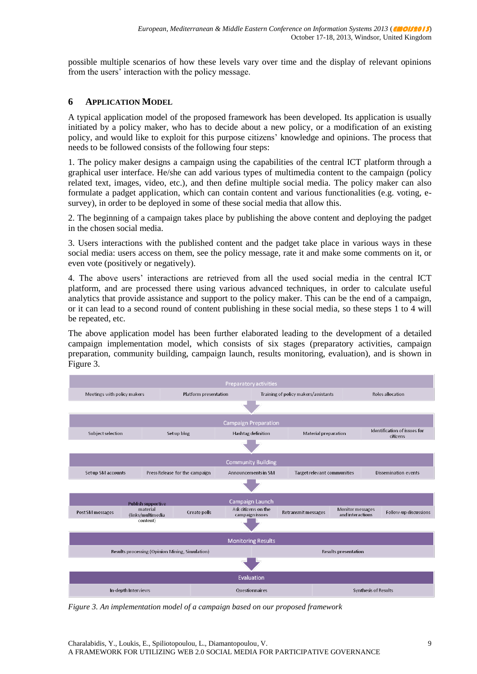possible multiple scenarios of how these levels vary over time and the display of relevant opinions from the users' interaction with the policy message.

#### **6 APPLICATION MODEL**

A typical application model of the proposed framework has been developed. Its application is usually initiated by a policy maker, who has to decide about a new policy, or a modification of an existing policy, and would like to exploit for this purpose citizens" knowledge and opinions. The process that needs to be followed consists of the following four steps:

1. The policy maker designs a campaign using the capabilities of the central ICT platform through a graphical user interface. He/she can add various types of multimedia content to the campaign (policy related text, images, video, etc.), and then define multiple social media. The policy maker can also formulate a padget application, which can contain content and various functionalities (e.g. voting, esurvey), in order to be deployed in some of these social media that allow this.

2. The beginning of a campaign takes place by publishing the above content and deploying the padget in the chosen social media.

3. Users interactions with the published content and the padget take place in various ways in these social media: users access on them, see the policy message, rate it and make some comments on it, or even vote (positively or negatively).

4. The above users" interactions are retrieved from all the used social media in the central ICT platform, and are processed there using various advanced techniques, in order to calculate useful analytics that provide assistance and support to the policy maker. This can be the end of a campaign, or it can lead to a second round of content publishing in these social media, so these steps 1 to 4 will be repeated, etc.

The above application model has been further elaborated leading to the development of a detailed campaign implementation model, which consists of six stages (preparatory activities, campaign preparation, community building, campaign launch, results monitoring, evaluation), and is shown in Figure 3.



*Figure 3. An implementation model of a campaign based on our proposed framework*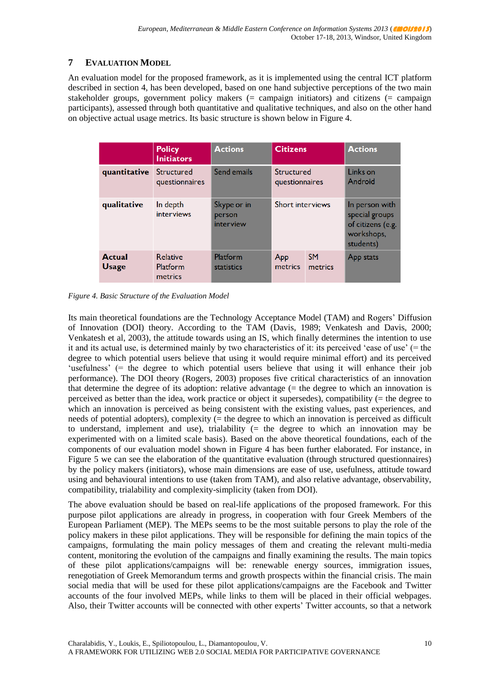# **7 EVALUATION MODEL**

An evaluation model for the proposed framework, as it is implemented using the central ICT platform described in section 4, has been developed, based on one hand subjective perceptions of the two main stakeholder groups, government policy makers (= campaign initiators) and citizens (= campaign participants), assessed through both quantitative and qualitative techniques, and also on the other hand on objective actual usage metrics. Its basic structure is shown below in Figure 4.

|                               | <b>Policy</b><br><b>Initiators</b>     | <b>Actions</b>                     | <b>Citizens</b>              |                      | <b>Actions</b>                                                                   |
|-------------------------------|----------------------------------------|------------------------------------|------------------------------|----------------------|----------------------------------------------------------------------------------|
| quantitative                  | Structured<br>questionnaires           | Send emails                        | Structured<br>questionnaires |                      | Links on<br>Android                                                              |
| qualitative                   | In depth<br>interviews                 | Skype or in<br>person<br>interview | <b>Short interviews</b>      |                      | In person with<br>special groups<br>of citizens (e.g.<br>workshops,<br>students) |
| <b>Actual</b><br><b>Usage</b> | <b>Relative</b><br>Platform<br>metrics | Platform<br><b>statistics</b>      | App<br>metrics               | <b>SM</b><br>metrics | App stats                                                                        |

*Figure 4. Basic Structure of the Evaluation Model*

Its main theoretical foundations are the Technology Acceptance Model (TAM) and Rogers" Diffusion of Innovation (DOI) theory. According to the TAM (Davis, 1989; Venkatesh and Davis, 2000; Venkatesh et al, 2003), the attitude towards using an IS, which finally determines the intention to use it and its actual use, is determined mainly by two characteristics of it: its perceived "ease of use" (= the degree to which potential users believe that using it would require minimal effort) and its perceived "usefulness" ( $=$  the degree to which potential users believe that using it will enhance their job performance). The DOI theory (Rogers, 2003) proposes five critical characteristics of an innovation that determine the degree of its adoption: relative advantage (= the degree to which an innovation is perceived as better than the idea, work practice or object it supersedes), compatibility (= the degree to which an innovation is perceived as being consistent with the existing values, past experiences, and needs of potential adopters), complexity (= the degree to which an innovation is perceived as difficult to understand, implement and use), trialability (= the degree to which an innovation may be experimented with on a limited scale basis). Based on the above theoretical foundations, each of the components of our evaluation model shown in Figure 4 has been further elaborated. For instance, in Figure 5 we can see the elaboration of the quantitative evaluation (through structured questionnaires) by the policy makers (initiators), whose main dimensions are ease of use, usefulness, attitude toward using and behavioural intentions to use (taken from TAM), and also relative advantage, observability, compatibility, trialability and complexity-simplicity (taken from DOI).

The above evaluation should be based on real-life applications of the proposed framework. For this purpose pilot applications are already in progress, in cooperation with four Greek Members of the European Parliament (MEP). The MEPs seems to be the most suitable persons to play the role of the policy makers in these pilot applications. They will be responsible for defining the main topics of the campaigns, formulating the main policy messages of them and creating the relevant multi-media content, monitoring the evolution of the campaigns and finally examining the results. The main topics of these pilot applications/campaigns will be: renewable energy sources, immigration issues, renegotiation of Greek Memorandum terms and growth prospects within the financial crisis. The main social media that will be used for these pilot applications/campaigns are the Facebook and Twitter accounts of the four involved MEPs, while links to them will be placed in their official webpages. Also, their Twitter accounts will be connected with other experts' Twitter accounts, so that a network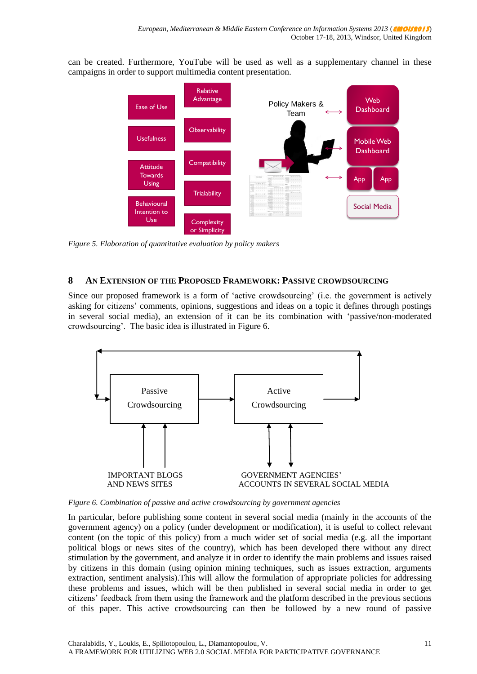can be created. Furthermore, YouTube will be used as well as a supplementary channel in these campaigns in order to support multimedia content presentation.



9 *Figure 5. Elaboration of quantitative evaluation by policy makers*

#### **8 AN EXTENSION OF THE PROPOSED FRAMEWORK: PASSIVE CROWDSOURCING**

Since our proposed framework is a form of "active crowdsourcing" (i.e. the government is actively asking for citizens" comments, opinions, suggestions and ideas on a topic it defines through postings in several social media), an extension of it can be its combination with "passive/non-moderated crowdsourcing". The basic idea is illustrated in Figure 6.



*Figure 6. Combination of passive and active crowdsourcing by government agencies*

In particular, before publishing some content in several social media (mainly in the accounts of the government agency) on a policy (under development or modification), it is useful to collect relevant content (on the topic of this policy) from a much wider set of social media (e.g. all the important political blogs or news sites of the country), which has been developed there without any direct stimulation by the government, and analyze it in order to identify the main problems and issues raised by citizens in this domain (using opinion mining techniques, such as issues extraction, arguments extraction, sentiment analysis).This will allow the formulation of appropriate policies for addressing these problems and issues, which will be then published in several social media in order to get citizens" feedback from them using the framework and the platform described in the previous sections of this paper. This active crowdsourcing can then be followed by a new round of passive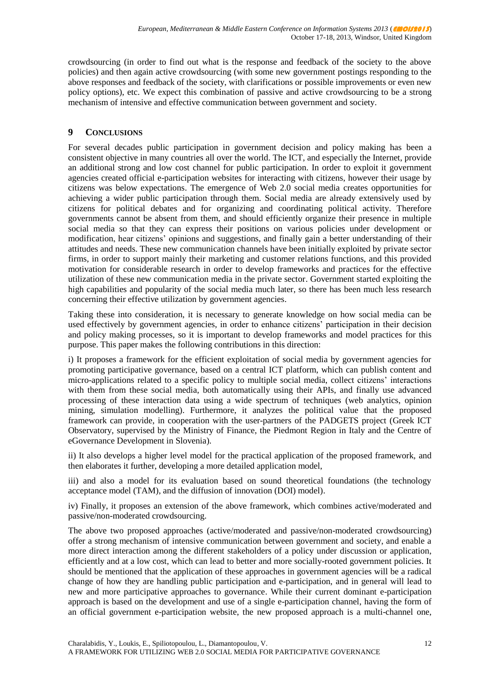crowdsourcing (in order to find out what is the response and feedback of the society to the above policies) and then again active crowdsourcing (with some new government postings responding to the above responses and feedback of the society, with clarifications or possible improvements or even new policy options), etc. We expect this combination of passive and active crowdsourcing to be a strong mechanism of intensive and effective communication between government and society.

#### **9 CONCLUSIONS**

For several decades public participation in government decision and policy making has been a consistent objective in many countries all over the world. The ICT, and especially the Internet, provide an additional strong and low cost channel for public participation. In order to exploit it government agencies created official e-participation websites for interacting with citizens, however their usage by citizens was below expectations. The emergence of Web 2.0 social media creates opportunities for achieving a wider public participation through them. Social media are already extensively used by citizens for political debates and for organizing and coordinating political activity. Therefore governments cannot be absent from them, and should efficiently organize their presence in multiple social media so that they can express their positions on various policies under development or modification, hear citizens" opinions and suggestions, and finally gain a better understanding of their attitudes and needs. These new communication channels have been initially exploited by private sector firms, in order to support mainly their marketing and customer relations functions, and this provided motivation for considerable research in order to develop frameworks and practices for the effective utilization of these new communication media in the private sector. Government started exploiting the high capabilities and popularity of the social media much later, so there has been much less research concerning their effective utilization by government agencies.

Taking these into consideration, it is necessary to generate knowledge on how social media can be used effectively by government agencies, in order to enhance citizens' participation in their decision and policy making processes, so it is important to develop frameworks and model practices for this purpose. This paper makes the following contributions in this direction:

i) It proposes a framework for the efficient exploitation of social media by government agencies for promoting participative governance, based on a central ICT platform, which can publish content and micro-applications related to a specific policy to multiple social media, collect citizens" interactions with them from these social media, both automatically using their APIs, and finally use advanced processing of these interaction data using a wide spectrum of techniques (web analytics, opinion mining, simulation modelling). Furthermore, it analyzes the political value that the proposed framework can provide, in cooperation with the user-partners of the PADGETS project (Greek ICT Observatory, supervised by the Ministry of Finance, the Piedmont Region in Italy and the Centre of eGovernance Development in Slovenia).

ii) It also develops a higher level model for the practical application of the proposed framework, and then elaborates it further, developing a more detailed application model,

iii) and also a model for its evaluation based on sound theoretical foundations (the technology acceptance model (TAM), and the diffusion of innovation (DOI) model).

iv) Finally, it proposes an extension of the above framework, which combines active/moderated and passive/non-moderated crowdsourcing.

The above two proposed approaches (active/moderated and passive/non-moderated crowdsourcing) offer a strong mechanism of intensive communication between government and society, and enable a more direct interaction among the different stakeholders of a policy under discussion or application, efficiently and at a low cost, which can lead to better and more socially-rooted government policies. It should be mentioned that the application of these approaches in government agencies will be a radical change of how they are handling public participation and e-participation, and in general will lead to new and more participative approaches to governance. While their current dominant e-participation approach is based on the development and use of a single e-participation channel, having the form of an official government e-participation website, the new proposed approach is a multi-channel one,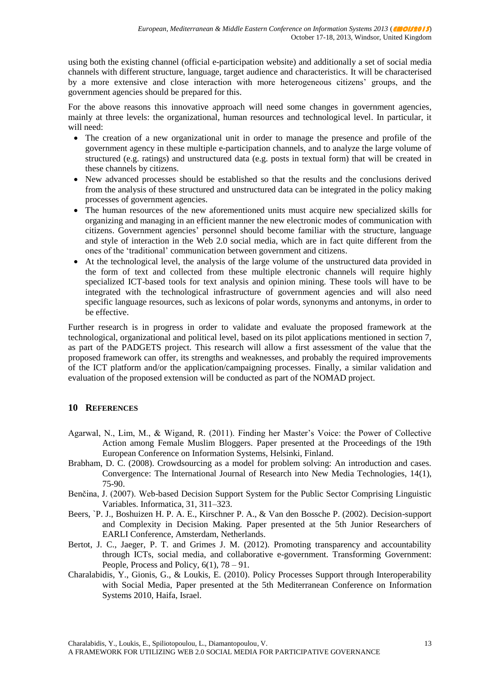using both the existing channel (official e-participation website) and additionally a set of social media channels with different structure, language, target audience and characteristics. It will be characterised by a more extensive and close interaction with more heterogeneous citizens" groups, and the government agencies should be prepared for this.

For the above reasons this innovative approach will need some changes in government agencies, mainly at three levels: the organizational, human resources and technological level. In particular, it will need:

- The creation of a new organizational unit in order to manage the presence and profile of the government agency in these multiple e-participation channels, and to analyze the large volume of structured (e.g. ratings) and unstructured data (e.g. posts in textual form) that will be created in these channels by citizens.
- New advanced processes should be established so that the results and the conclusions derived from the analysis of these structured and unstructured data can be integrated in the policy making processes of government agencies.
- The human resources of the new aforementioned units must acquire new specialized skills for organizing and managing in an efficient manner the new electronic modes of communication with citizens. Government agencies" personnel should become familiar with the structure, language and style of interaction in the Web 2.0 social media, which are in fact quite different from the ones of the "traditional" communication between government and citizens.
- At the technological level, the analysis of the large volume of the unstructured data provided in the form of text and collected from these multiple electronic channels will require highly specialized ICT-based tools for text analysis and opinion mining. These tools will have to be integrated with the technological infrastructure of government agencies and will also need specific language resources, such as lexicons of polar words, synonyms and antonyms, in order to be effective.

Further research is in progress in order to validate and evaluate the proposed framework at the technological, organizational and political level, based on its pilot applications mentioned in section 7, as part of the PADGETS project. This research will allow a first assessment of the value that the proposed framework can offer, its strengths and weaknesses, and probably the required improvements of the ICT platform and/or the application/campaigning processes. Finally, a similar validation and evaluation of the proposed extension will be conducted as part of the NOMAD project.

# **10 REFERENCES**

- Agarwal, N., Lim, M., & Wigand, R. (2011). Finding her Master"s Voice: the Power of Collective Action among Female Muslim Bloggers. Paper presented at the Proceedings of the 19th European Conference on Information Systems, Helsinki, Finland.
- Brabham, D. C. (2008). Crowdsourcing as a model for problem solving: An introduction and cases. Convergence: The International Journal of Research into New Media Technologies, 14(1), 75-90.
- Benčina, J. (2007). Web-based Decision Support System for the Public Sector Comprising Linguistic Variables. Informatica, 31, 311–323.
- Beers, `P. J., Boshuizen H. P. A. E., Kirschner P. A., & Van den Bossche P. (2002). Decision-support and Complexity in Decision Making. Paper presented at the 5th Junior Researchers of EARLI Conference, Amsterdam, Netherlands.
- Bertot, J. C., Jaeger, P. T. and Grimes J. M. (2012). Promoting transparency and accountability through ICTs, social media, and collaborative e-government. Transforming Government: People, Process and Policy,  $6(1)$ ,  $78 - 91$ .
- Charalabidis, Y., Gionis, G., & Loukis, E. (2010). Policy Processes Support through Interoperability with Social Media, Paper presented at the 5th Mediterranean Conference on Information Systems 2010, Haifa, Israel.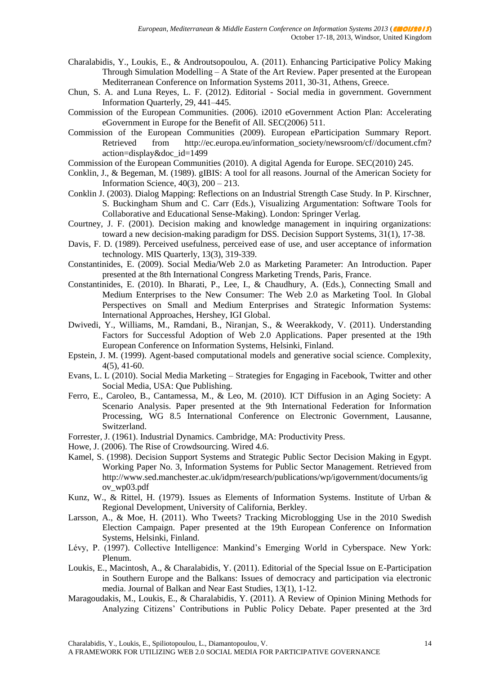- Charalabidis, Y., Loukis, E., & Androutsopoulou, A. (2011). Enhancing Participative Policy Making Through Simulation Modelling  $-A$  State of the Art Review. Paper presented at the European Mediterranean Conference on Information Systems 2011, 30-31, Athens, Greece.
- Chun, S. A. and Luna Reyes, L. F. (2012). Editorial Social media in government. Government Information Quarterly, 29, 441–445.
- Commission of the European Communities. (2006). i2010 eGovernment Action Plan: Accelerating eGovernment in Europe for the Benefit of All. SEC(2006) 511.
- Commission of the European Communities (2009). European eParticipation Summary Report. Retrieved from http://ec.europa.eu/information\_society/newsroom/cf//document.cfm? action=display&doc\_id=1499
- Commission of the European Communities (2010). A digital Agenda for Europe. SEC(2010) 245.
- Conklin, J., & Begeman, M. (1989). gIBIS: A tool for all reasons. Journal of the American Society for Information Science, 40(3), 200 – 213.
- Conklin J. (2003). Dialog Mapping: Reflections on an Industrial Strength Case Study. In P. Kirschner, S. Buckingham Shum and C. Carr (Eds.), Visualizing Argumentation: Software Tools for Collaborative and Educational Sense-Making). London: Springer Verlag.
- Courtney, J. F. (2001). Decision making and knowledge management in inquiring organizations: toward a new decision-making paradigm for DSS. Decision Support Systems, 31(1), 17-38.
- Davis, F. D. (1989). Perceived usefulness, perceived ease of use, and user acceptance of information technology. MIS Quarterly, 13(3), 319-339.
- Constantinides, E. (2009). Social Media/Web 2.0 as Marketing Parameter: An Introduction. Paper presented at the 8th International Congress Marketing Trends, Paris, France.
- Constantinides, E. (2010). In Bharati, P., Lee, I., & Chaudhury, A. (Eds.), Connecting Small and Medium Enterprises to the New Consumer: The Web 2.0 as Marketing Tool. In Global Perspectives on Small and Medium Enterprises and Strategic Information Systems: International Approaches, Hershey, IGI Global.
- Dwivedi, Y., Williams, M., Ramdani, B., Niranjan, S., & Weerakkody, V. (2011). Understanding Factors for Successful Adoption of Web 2.0 Applications. Paper presented at the 19th European Conference on Information Systems, Helsinki, Finland.
- Epstein, J. M. (1999). Agent-based computational models and generative social science. Complexity, 4(5), 41-60.
- Evans, L. L (2010). Social Media Marketing Strategies for Engaging in Facebook, Twitter and other Social Media, USA: Que Publishing.
- Ferro, E., Caroleo, B., Cantamessa, M., & Leo, M. (2010). ICT Diffusion in an Aging Society: A Scenario Analysis. Paper presented at the 9th International Federation for Information Processing, WG 8.5 International Conference on Electronic Government, Lausanne, Switzerland.
- Forrester, J. (1961). Industrial Dynamics. Cambridge, MA: Productivity Press.
- Howe, J. (2006). The Rise of Crowdsourcing. Wired 4.6.
- Kamel, S. (1998). Decision Support Systems and Strategic Public Sector Decision Making in Egypt. Working Paper No. 3, Information Systems for Public Sector Management. Retrieved from http://www.sed.manchester.ac.uk/idpm/research/publications/wp/igovernment/documents/ig ov\_wp03.pdf
- Kunz, W., & Rittel, H. (1979). Issues as Elements of Information Systems. Institute of Urban & Regional Development, University of California, Berkley.
- Larsson, A., & Moe, H. (2011). Who Tweets? Tracking Microblogging Use in the 2010 Swedish Election Campaign. Paper presented at the 19th European Conference on Information Systems, Helsinki, Finland.
- Lévy, P. (1997). Collective Intelligence: Mankind's Emerging World in Cyberspace. New York: Plenum.
- Loukis, E., Macintosh, A., & Charalabidis, Y. (2011). Editorial of the Special Issue on E-Participation in Southern Europe and the Balkans: Issues of democracy and participation via electronic media. Journal of Balkan and Near East Studies, 13(1), 1-12.
- Maragoudakis, M., Loukis, E., & Charalabidis, Y. (2011). A Review of Opinion Mining Methods for Analyzing Citizens" Contributions in Public Policy Debate. Paper presented at the 3rd